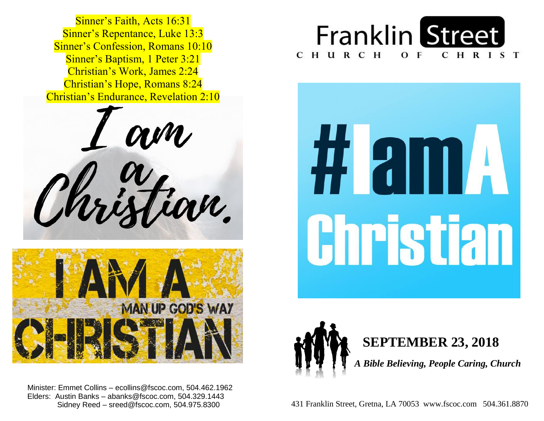**Sinner's Baptism, 1 Peter 3:21**  Christian's Work, James 2:24  Christian's Hope, Romans 8:24 Sinner's Faith, Acts 16:31 Sinner's Repentance, Luke 13:3 Sinner's Confession, Romans 10:10 Christian's Endurance, Revelation 2:10





 Minister: Emmet Collins – ecollins@fscoc.com, 504.462.1962  Elders: Austin Banks – abanks@fscoc.com, 504.329.1443 Sidney Reed – sreed@fscoc.com, 504.975.8300